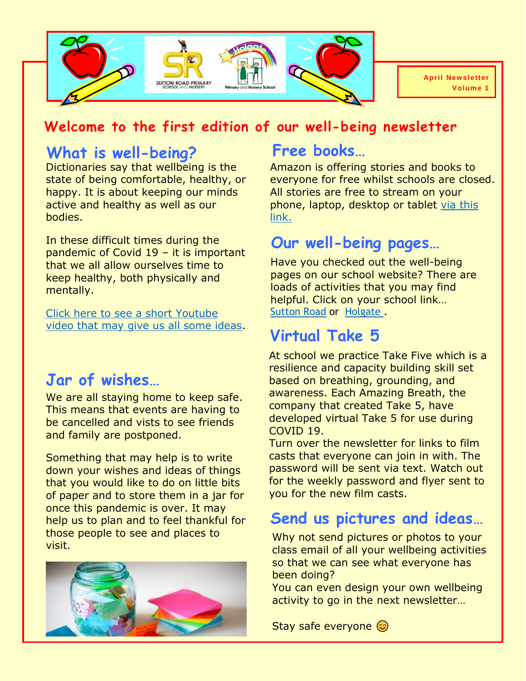

#### **Welcome to the first edition of our well-being newsletter**

#### **What is well-being?**

Dictionaries say that wellbeing is the state of being comfortable, healthy, or happy. It is about keeping our minds active and healthy as well as our bodies.

In these difficult times during the pandemic of Covid 19 – it is important that we all allow ourselves time to keep healthy, both physically and mentally.

[Click here to see a short Youtube](https://www.youtube.com/watch?v=xzNMABRELPg&t=129s)  [video that may give us all some ideas.](https://www.youtube.com/watch?v=xzNMABRELPg&t=129s)

## **Jar of wishes…**

We are all staying home to keep safe. This means that events are having to be cancelled and vists to see friends and family are postponed.

Something that may help is to write down your wishes and ideas of things that you would like to do on little bits of paper and to store them in a jar for once this pandemic is over. It may help us to plan and to feel thankful for those people to see and places to visit.



## **Free books…**

Amazon is offering stories and books to everyone for free whilst schools are closed. All stories are free to stream on your phone, laptop, desktop or tablet [via this](https://stories.audible.com/start-listen)  [link.](https://stories.audible.com/start-listen)

#### **Our well-being pages…**

Have you checked out the well-being pages on our school website? There are loads of activities that you may find helpful. Click on your school link… [Sutton Road](https://www.suttonroad.org/home-learning/chill-and-mindset-activities) or [Holgate .](http://www.holgateprimary.org/page/?title=Chill+and+Mindfulness+Activities&pid=85)

# **Virtual Take 5**

At school we practice Take Five which is a resilience and capacity building skill set based on breathing, grounding, and awareness. Each Amazing Breath, the company that created Take 5, have developed virtual Take 5 for use during COVID 19.

Turn over the newsletter for links to film casts that everyone can join in with. The password will be sent via text. Watch out for the weekly password and flyer sent to you for the new film casts.

## **Send us pictures and ideas…**

Why not send pictures or photos to your class email of all your wellbeing activities so that we can see what everyone has been doing?

You can even design your own wellbeing activity to go in the next newsletter…

Stay safe everyone @